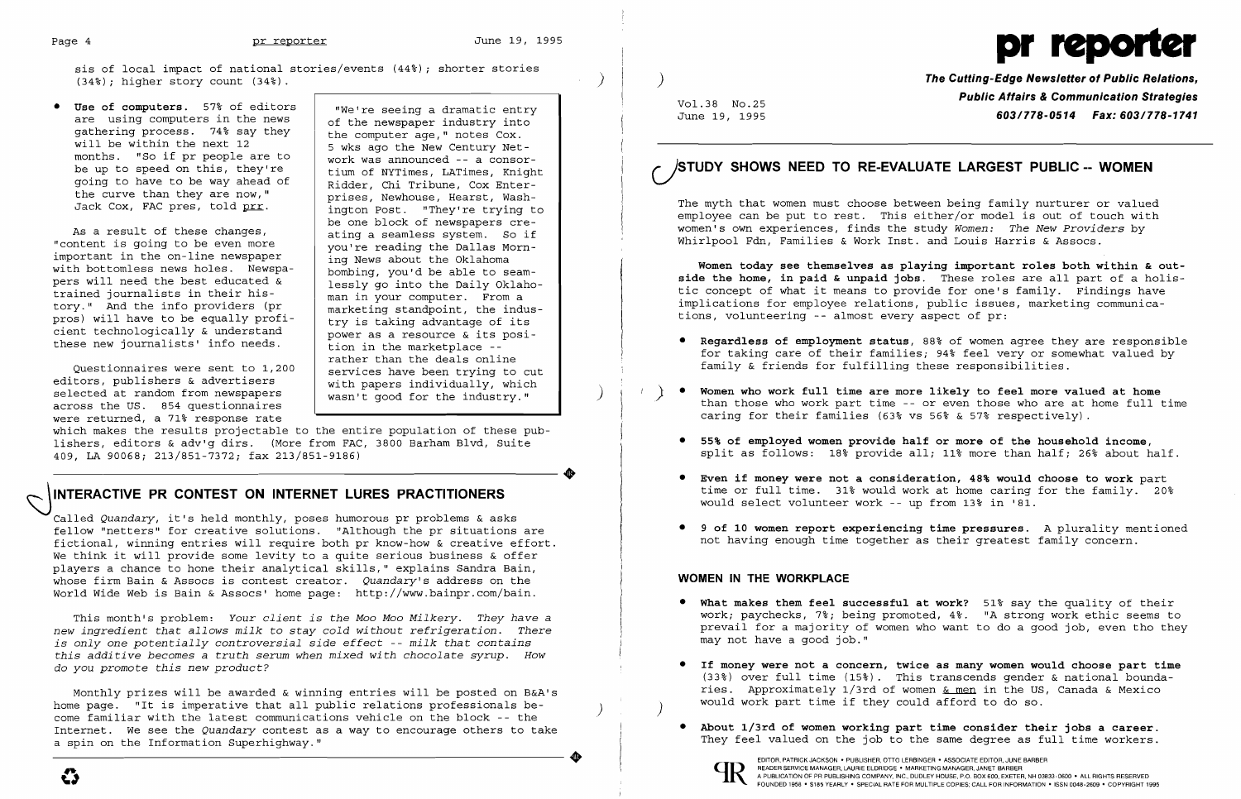sis of local impact of national stories/events  $(44%)$ ; shorter stories  $(34%)$ ; higher story count  $(34%)$ .

• **Use of computers.** 57% of editors we're seeing a dramatic entry are using computers in the news ef the power industry into gathering process. 74% say they<br>will be within the next 12 months. "So if pr people are to work was announced -- a consor-<br>be up to speed on this, they're tium of NYTimes, LATimes, Knight be up to have to be way ahead of and the night going to have to be way ahead of Ridder, Chi Tribune, Cox Enter-<br>the curve than they are now," prises. Newhouse. Hearst, Washthe curve than they are now,"<br>Jack Cox, FAC pres, told prr.



As a result of these changes,  $\frac{1}{\pi}$  ating a seamless system. So if "content is going to be even more important in the on-line newspaper<br>with bottomless news holes. Newspa-<br>bombing, you'd be able to seamwith bottomless news holes. Newspa-<br>pers will need the best educated  $\&$   $\left\{\n\begin{array}{c}\n\text{if } n \text{ is odd} \\
\text{bombing, you'd be able to seem-} \\
\text{lessly go into the Daily Oklahoma}\n\end{array}\n\right\}$ pers will need the best educated  $\bar{x}$  lessly go into the Daily Oklah trained journalists in their his-<br>man in your computer. From a trained journalists in their his man in your computer. From a tory." And the info providers (pr<br>pros) will have to be equally profi-<br>try is taking advantage of its pros) will have to be equally  $\begin{array}{c} \text{maxine} \\ \text{try} \text{ is taking advantage of its power as a resource } \end{array}$ cient technologically & understand power as a resource & its posi these new journalists' info needs. tion in the marketplace -

Questionnaires were sent to 1,200 services have been trying to cut<br>tors, publishers & advertisers and with papers individually, which editors, publishers & advertisers<br>selected at random from newspapers with papers individually, which wasn't good for the industry." selected at random from newspapers across the US. 854 questionnaires were returned, a 71% response rate

of the newspaper industry into<br>the computer age," notes Cox. 5 wks ago the New Century Net-<br>work was announced -- a consorington Post. "They're trying to be one block of newspapers cre you're reading the Dallas Mornrather than the deals online

which makes the results projectable to the entire population of these pubwhich makes the results projectable to the entire population of these pub-<br>lishers, editors & adv'g dirs. (More from FAC, 3800 Barham Blvd, Suite<br>409, LA 90068; 213/851-7372; fax 213/851-9186)<br>-----------------------------409, LA 90068; 213/851-7372; fax 213/851-9186)

## INTERACTIVE PR CONTEST ON INTERNET LURES PRACTITIONERS

Monthly prizes will be awarded & winning entries will be posted on B&A's home page. "It is imperative that all public relations professionals be-<br>come familiar with the latest communications vehicle on the block -- the Internet. We see the *Quandary* contest as a way to encourage others to take a spin on the Information Superhighway." spin on the Information Superhighway."<br>
expansion of the state of the set of the set of the set of the set of the set of the set of the set of the set of the set of the set of the set of the set of the set of the set of th

**The Cutting-Edge Newsletter of Public Relations, Public Affairs &Communication Strategies** Vo1.38 NO.25 June 19, 1995 **603/778-0514 Fax: 603/778-1741** 

• **Regardless of employment status,** 88~ of women agree they are responsible for taking care of their families; 94% feel very or somewhat valued by

Called *Quandary,* it's held monthly, poses humorous pr problems & asks fellow "netters" for creative solutions. "Although the pr situations are fictional, winning entries will require both pr know-how & creative effort. We think it will provide some levity to a quite serious business & offer players a chance to hone their analytical skills," explains Sandra Bain, whose firm Bain & Assocs is contest creator. Quandary's address on the World Wide Web is Bain & Assocs' home page: http://www.bainpr.com/bain.

> $(33%)$  over full time (15%). This transcends gender & national boundaries. Approximately 1/3rd of women & men in the US, Canada & Mexico

They feel valued on the job to the same degree as full time workers.

This month's problem: *Your client is the Moo Moo Milkery. They have* <sup>a</sup> *new ingredient that allows milk* to *stay cold without refrigeration. There is only one potentially controversial side effect* -- *milk that contains this additive becomes* a *truth serum when mixed with chocolate syrup. How*  do *you promote this new product?* 

# **c.)STUDY SHOWS NEED TO RE-EVALUATE LARGEST PUBLIC -- WOMEN**

The myth that women must choose between being family nurturer or valued employee can be put to rest. This either/or model is out of touch with women's own experiences, finds the study *Women: The New Providers* by Whirlpool Fdn, Families & Work Inst. and Louis Harris & Assocs.

**Women today see themselves as playing important roles both within & outside the home, in paid & unpaid jobs.** These roles are all part of a holistic concept of what it means to provide for one's family. Findings have implications for employee relations, public issues, marketing communications, volunteering -- almost every aspect of pr:

than those who work part time -- or even those who are at home full time

split as follows: 18% provide all; 11% more than half; 26% about half.

time or full time. 31% would work at home caring for the family. 20%

- family & friends for fulfilling these responsibilities.
- ) **Women who work full time are more likely to feel more valued at home**  caring for their families  $(63% \text{ vs } 56% \text{ c } 57% \text{ respectively}).$ 
	- **55% of employed women provide half or more of the household income,**
	- • **Even if money were not a consideration, 48% would choose to work** part would select volunteer work -- up from 13% in '81.
	- • **9 of 10 women report experiencing time pressures.** A plurality mentioned not having enough time together as their greatest family concern.

### **WOMEN IN THE WORKPLACE**

• **What makes them feel successful at work?** 51~ say the quality of their work; paychecks, 7%; being promoted, 4%. "A strong work ethic seems to prevail for a majority of women who want to do a good job, even tho they

- may not have a good job."
- • **If money were not a concern, twice as many women would choose part time**  would work part time if they could afford to do so. )
- **About 1/3rd of women working part time consider their jobs a career.**

EDITOR, PATRICK JACKSON' PUBLISHER, OTTO LERBINGER • ASSOCIATE EDITOR, JUNE BARBER